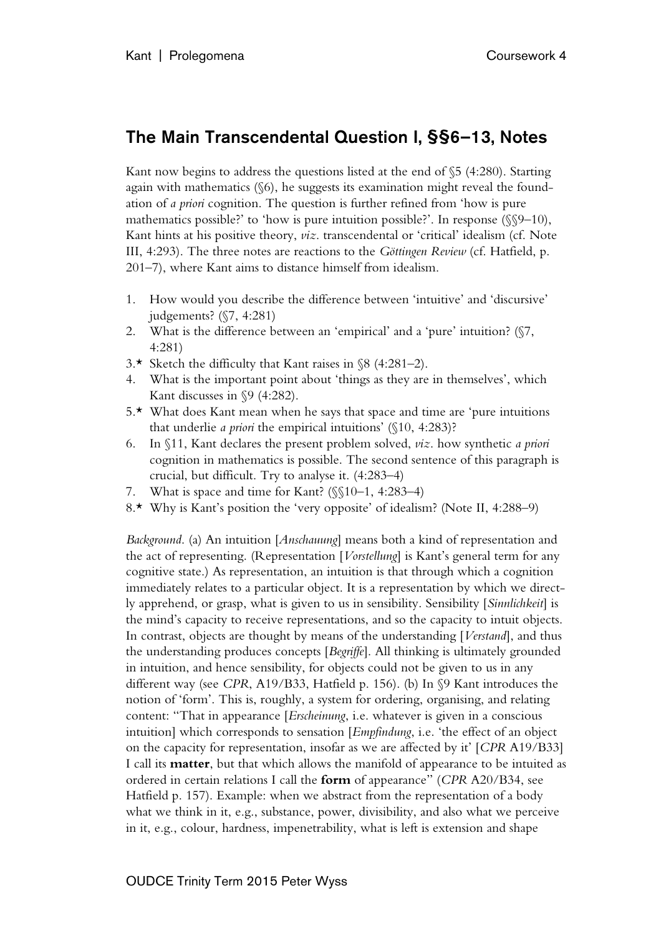## The Main Transcendental Question I, §§6–13, Notes

Kant now begins to address the questions listed at the end of §5 (4:280). Starting again with mathematics (§6), he suggests its examination might reveal the foundation of *a priori* cognition. The question is further refined from 'how is pure mathematics possible?' to 'how is pure intuition possible?'. In response ( $\S$ 9–10), Kant hints at his positive theory, *viz*. transcendental or 'critical' idealism (cf. Note III, 4:293). The three notes are reactions to the *Göttingen Review* (cf. Hatfield, p. 201–7), where Kant aims to distance himself from idealism.

- 1. How would you describe the difference between 'intuitive' and 'discursive' judgements? (§7, 4:281)
- 2. What is the difference between an 'empirical' and a 'pure' intuition? (§7, 4:281)
- 3.\* Sketch the difficulty that Kant raises in  $\$ 8 (4:281–2).
- 4. What is the important point about 'things as they are in themselves', which Kant discusses in §9 (4:282).
- 5.\* What does Kant mean when he says that space and time are 'pure intuitions that underlie *a priori* the empirical intuitions' (§10, 4:283)?
- 6. In §11, Kant declares the present problem solved, *viz*. how synthetic *a priori* cognition in mathematics is possible. The second sentence of this paragraph is crucial, but difficult. Try to analyse it. (4:283–4)
- 7. What is space and time for Kant? (§§10–1, 4:283–4)
- 8.\* Why is Kant's position the 'very opposite' of idealism? (Note II, 4:288–9)

*Background*. (a) An intuition [*Anschauung*] means both a kind of representation and the act of representing. (Representation [*Vorstellung*] is Kant's general term for any cognitive state.) As representation, an intuition is that through which a cognition immediately relates to a particular object. It is a representation by which we directly apprehend, or grasp, what is given to us in sensibility. Sensibility [*Sinnlichkeit*] is the mind's capacity to receive representations, and so the capacity to intuit objects. In contrast, objects are thought by means of the understanding [*Verstand*], and thus the understanding produces concepts [*Begriffe*]. All thinking is ultimately grounded in intuition, and hence sensibility, for objects could not be given to us in any different way (see *CPR*, A19/B33, Hatfield p. 156). (b) In §9 Kant introduces the notion of 'form'. This is, roughly, a system for ordering, organising, and relating content: "That in appearance [*Erscheinung*, i.e. whatever is given in a conscious intuition] which corresponds to sensation [*Empfindung*, i.e. 'the effect of an object on the capacity for representation, insofar as we are affected by it' [*CPR* A19/B33] I call its **matter**, but that which allows the manifold of appearance to be intuited as ordered in certain relations I call the **form** of appearance" (*CPR* A20/B34, see Hatfield p. 157). Example: when we abstract from the representation of a body what we think in it, e.g., substance, power, divisibility, and also what we perceive in it, e.g., colour, hardness, impenetrability, what is left is extension and shape